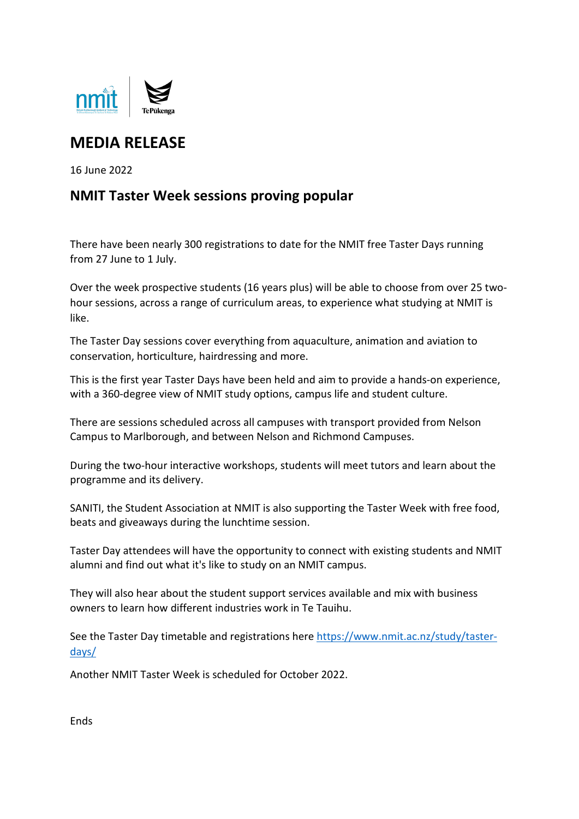

## **MEDIA RELEASE**

16 June 2022

## **NMIT Taster Week sessions proving popular**

There have been nearly 300 registrations to date for the NMIT free Taster Days running from 27 June to 1 July.

Over the week prospective students (16 years plus) will be able to choose from over 25 twohour sessions, across a range of curriculum areas, to experience what studying at NMIT is like.

The Taster Day sessions cover everything from aquaculture, animation and aviation to conservation, horticulture, hairdressing and more.

This is the first year Taster Days have been held and aim to provide a hands-on experience, with a 360-degree view of NMIT study options, campus life and student culture.

There are sessions scheduled across all campuses with transport provided from Nelson Campus to Marlborough, and between Nelson and Richmond Campuses.

During the two-hour interactive workshops, students will meet tutors and learn about the programme and its delivery.

SANITI, the Student Association at NMIT is also supporting the Taster Week with free food, beats and giveaways during the lunchtime session.

Taster Day attendees will have the opportunity to connect with existing students and NMIT alumni and find out what it's like to study on an NMIT campus.

They will also hear about the student support services available and mix with business owners to learn how different industries work in Te Tauihu.

See the Taster Day timetable and registrations here [https://www.nmit.ac.nz/study/taster](https://www.nmit.ac.nz/study/taster-days/)[days/](https://www.nmit.ac.nz/study/taster-days/)

Another NMIT Taster Week is scheduled for October 2022.

**Ends**